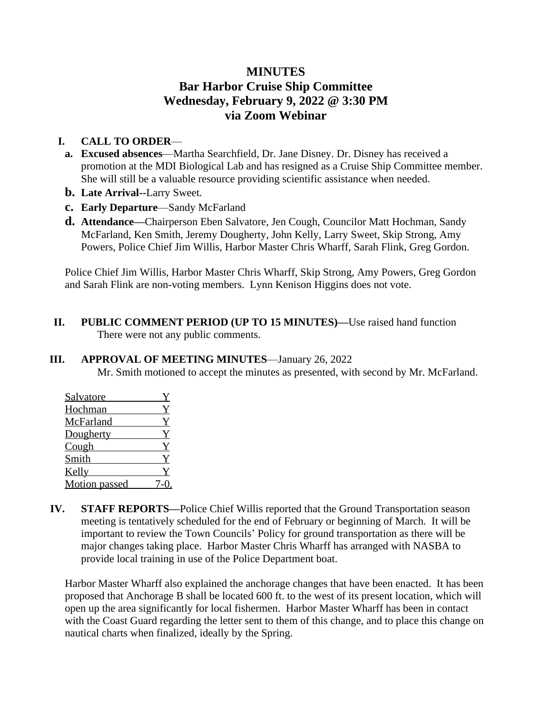## **MINUTES Bar Harbor Cruise Ship Committee Wednesday, February 9, 2022 @ 3:30 PM via Zoom Webinar**

## **I. CALL TO ORDER**—

- **a. Excused absences**—Martha Searchfield, Dr. Jane Disney. Dr. Disney has received a promotion at the MDI Biological Lab and has resigned as a Cruise Ship Committee member. She will still be a valuable resource providing scientific assistance when needed.
- **b. Late Arrival--**Larry Sweet.
- **c. Early Departure**—Sandy McFarland
- **d.** Attendance—Chairperson Eben Salvatore, Jen Cough, Councilor Matt Hochman, Sandy McFarland, Ken Smith, Jeremy Dougherty, John Kelly, Larry Sweet, Skip Strong, Amy Powers, Police Chief Jim Willis, Harbor Master Chris Wharff, Sarah Flink, Greg Gordon.

Police Chief Jim Willis, Harbor Master Chris Wharff, Skip Strong, Amy Powers, Greg Gordon and Sarah Flink are non-voting members. Lynn Kenison Higgins does not vote.

**II. PUBLIC COMMENT PERIOD (UP TO 15 MINUTES)—**Use raised hand function There were not any public comments.

## **III. APPROVAL OF MEETING MINUTES**—January 26, 2022

Mr. Smith motioned to accept the minutes as presented, with second by Mr. McFarland.

| Salvatore            |  |
|----------------------|--|
| Hochman              |  |
| McFarland            |  |
| Dougherty            |  |
| Cough                |  |
| Smith                |  |
| Kelly                |  |
| <b>Motion</b> passed |  |

**IV. STAFF REPORTS—**Police Chief Willis reported that the Ground Transportation season meeting is tentatively scheduled for the end of February or beginning of March. It will be important to review the Town Councils' Policy for ground transportation as there will be major changes taking place. Harbor Master Chris Wharff has arranged with NASBA to provide local training in use of the Police Department boat.

Harbor Master Wharff also explained the anchorage changes that have been enacted. It has been proposed that Anchorage B shall be located 600 ft. to the west of its present location, which will open up the area significantly for local fishermen. Harbor Master Wharff has been in contact with the Coast Guard regarding the letter sent to them of this change, and to place this change on nautical charts when finalized, ideally by the Spring.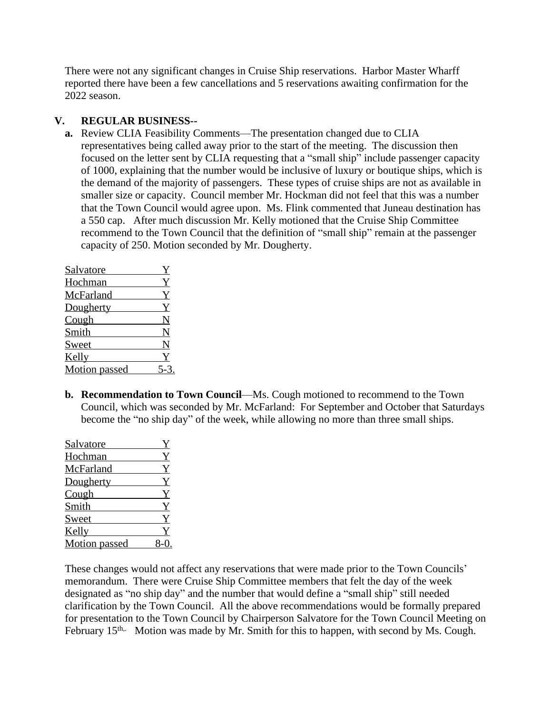There were not any significant changes in Cruise Ship reservations. Harbor Master Wharff reported there have been a few cancellations and 5 reservations awaiting confirmation for the 2022 season.

## **V. REGULAR BUSINESS--**

**a.** Review CLIA Feasibility Comments—The presentation changed due to CLIA representatives being called away prior to the start of the meeting. The discussion then focused on the letter sent by CLIA requesting that a "small ship" include passenger capacity of 1000, explaining that the number would be inclusive of luxury or boutique ships, which is the demand of the majority of passengers. These types of cruise ships are not as available in smaller size or capacity. Council member Mr. Hockman did not feel that this was a number that the Town Council would agree upon. Ms. Flink commented that Juneau destination has a 550 cap. After much discussion Mr. Kelly motioned that the Cruise Ship Committee recommend to the Town Council that the definition of "small ship" remain at the passenger capacity of 250. Motion seconded by Mr. Dougherty.

| Salvatore            |   |
|----------------------|---|
| Hochman              | Y |
| McFarland            | Y |
| Dougherty            | Y |
| Cough                | N |
| Smith                | N |
| Sweet                | N |
| Kelly                |   |
| <b>Motion</b> passed |   |

**b. Recommendation to Town Council**—Ms. Cough motioned to recommend to the Town Council, which was seconded by Mr. McFarland: For September and October that Saturdays become the "no ship day" of the week, while allowing no more than three small ships.

| Salvatore            | Y            |
|----------------------|--------------|
| Hochman              | $\mathbf{Y}$ |
| McFarland            | Y            |
| Dougherty            | Y            |
| Cough                | $Y_{\cdot}$  |
| Smith                | Y            |
| Sweet                | $\mathbf Y$  |
| Kelly                |              |
| <b>Motion</b> passed |              |

These changes would not affect any reservations that were made prior to the Town Councils' memorandum. There were Cruise Ship Committee members that felt the day of the week designated as "no ship day" and the number that would define a "small ship" still needed clarification by the Town Council. All the above recommendations would be formally prepared for presentation to the Town Council by Chairperson Salvatore for the Town Council Meeting on February 15<sup>th,.</sup> Motion was made by Mr. Smith for this to happen, with second by Ms. Cough.